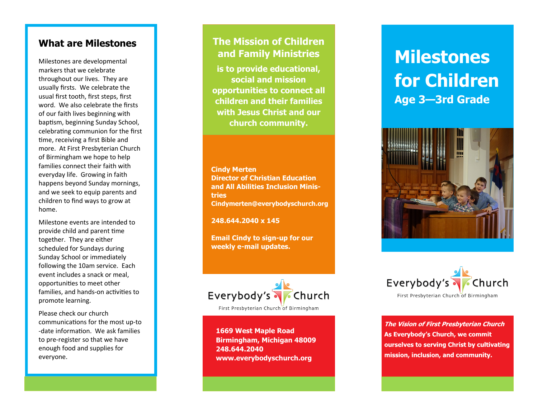# **What are Milestones**

Milestones are developmental markers that we celebrate throughout our lives. They are usually firsts. We celebrate the usual first tooth, first steps, first word. We also celebrate the firsts of our faith lives beginning with baptism, beginning Sunday School, celebrating communion for the first time, receiving a first Bible and more. At First Presbyterian Church of Birmingham we hope to help families connect their faith with everyday life. Growing in faith happens beyond Sunday mornings, and we seek to equip parents and children to find ways to grow at home.

Milestone events are intended to provide child and parent time together. They are either scheduled for Sundays during Sunday School or immediately following the 10am service. Each event includes a snack or meal, opportunities to meet other families, and hands-on activities to promote learning.

Please check our church communications for the most up-to -date information. We ask families to pre-register so that we have enough food and supplies for everyone.

# **The Mission of Children and Family Ministries**

**is to provide educational, social and mission opportunities to connect all children and their families with Jesus Christ and our church community.** 

**Cindy Merten Director of Christian Education and All Abilities Inclusion Ministries Cindymerten@everybodyschurch.org** 

**248.644.2040 x 145** 

**Email Cindy to sign-up for our weekly e-mail updates.** 



First Presbyterian Church of Birmingham

**1669 West Maple Road Birmingham, Michigan 48009 248.644.2040 www.everybodyschurch.org** 

# **Milestones for Children Age 3—3rd Grade**





The Vision of First Presbyterian Church As Everybody's Church, we commit ourselves to serving Christ by cultivating mission, inclusion, and community.